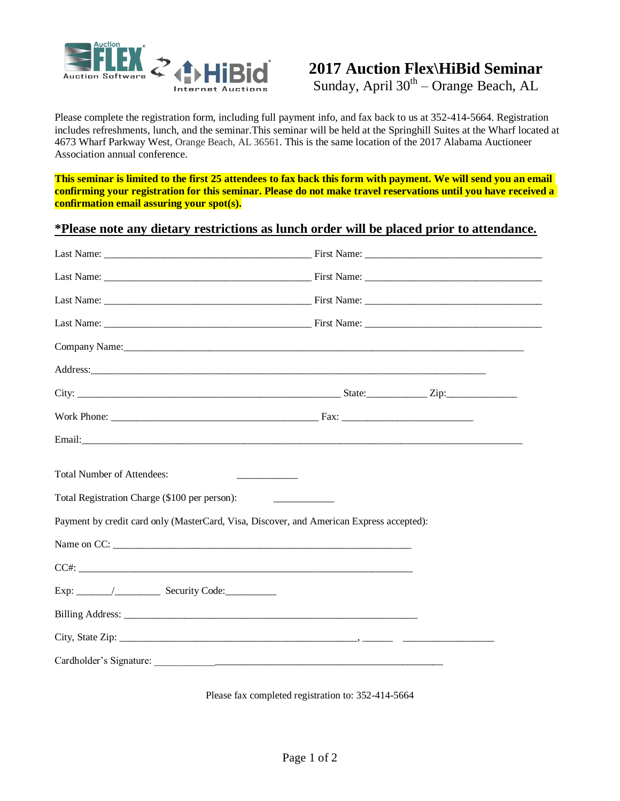

## **2017 Auction Flex\HiBid Seminar**

Sunday, April  $30<sup>th</sup>$  – Orange Beach, AL

Please complete the registration form, including full payment info, and fax back to us at 352-414-5664. Registration includes refreshments, lunch, and the seminar.This seminar will be held at the Springhill Suites at the Wharf located at 4673 Wharf Parkway West, Orange Beach, AL 36561. This is the same location of the 2017 Alabama Auctioneer Association annual conference.

**This seminar is limited to the first 25 attendees to fax back this form with payment. We will send you an email confirming your registration for this seminar. Please do not make travel reservations until you have received a confirmation email assuring your spot(s).**

## **\*Please note any dietary restrictions as lunch order will be placed prior to attendance.**

| Company Name: Company Name:                                                                                                                                                                                                    |  |
|--------------------------------------------------------------------------------------------------------------------------------------------------------------------------------------------------------------------------------|--|
|                                                                                                                                                                                                                                |  |
|                                                                                                                                                                                                                                |  |
|                                                                                                                                                                                                                                |  |
| Email: No. 2014 - Email: No. 2014 - Email: No. 2014 - Email: No. 2014 - Email: No. 2014 - Email: No. 2014 - Email: No. 2014 - Email: No. 2014 - Email: No. 2014 - Email: No. 2014 - Email: No. 2014 - Email: No. 2014 - Email: |  |
| Total Number of Attendees:<br>Total Registration Charge (\$100 per person):<br>Payment by credit card only (MasterCard, Visa, Discover, and American Express accepted):                                                        |  |
|                                                                                                                                                                                                                                |  |
|                                                                                                                                                                                                                                |  |
|                                                                                                                                                                                                                                |  |
|                                                                                                                                                                                                                                |  |
|                                                                                                                                                                                                                                |  |

Please fax completed registration to: 352-414-5664